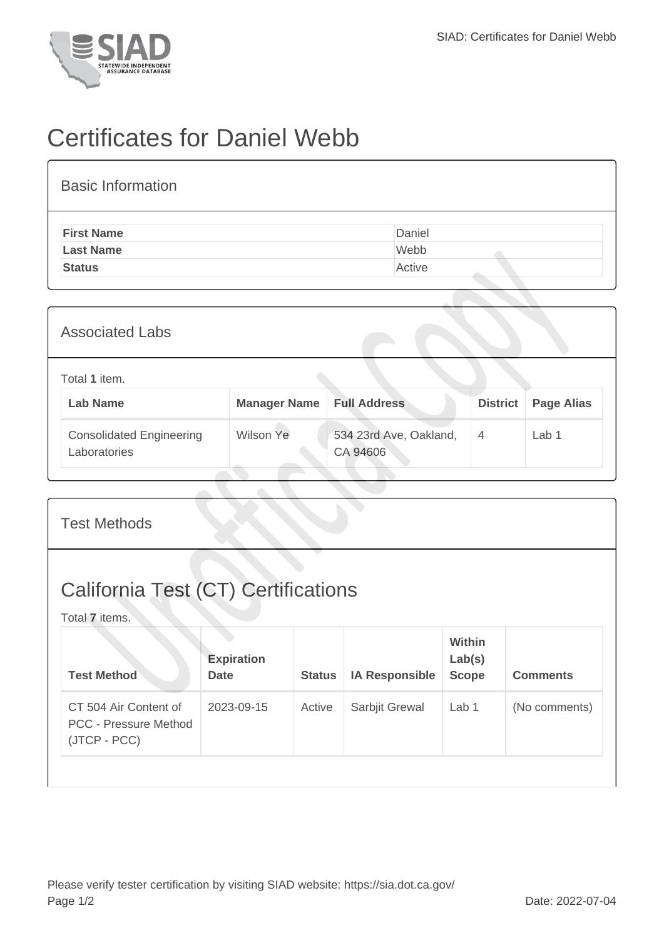

## Certificates for Daniel Webb

| <b>Basic Information</b> |        |
|--------------------------|--------|
| <b>First Name</b>        | Daniel |
| <b>Last Name</b>         | Webb   |
| <b>Status</b>            | Active |
|                          |        |

| <b>Associated Labs</b>                          |                                  |                                    |                 |                   |
|-------------------------------------------------|----------------------------------|------------------------------------|-----------------|-------------------|
| Total 1 item.<br><b>Lab Name</b>                | <b>Manager Name Full Address</b> |                                    | <b>District</b> | <b>Page Alias</b> |
| <b>Consolidated Engineering</b><br>Laboratories | Wilson Ye                        | 534 23rd Ave, Oakland,<br>CA 94606 | $\overline{4}$  | Lab 1             |

| <b>Test Methods</b>                                                   |                                  |               |                       |                                         |                 |
|-----------------------------------------------------------------------|----------------------------------|---------------|-----------------------|-----------------------------------------|-----------------|
| <b>California Test (CT) Certifications</b><br>Total 7 items.          |                                  |               |                       |                                         |                 |
| <b>Test Method</b>                                                    | <b>Expiration</b><br><b>Date</b> | <b>Status</b> | <b>IA Responsible</b> | <b>Within</b><br>Lab(s)<br><b>Scope</b> | <b>Comments</b> |
| CT 504 Air Content of<br><b>PCC - Pressure Method</b><br>(JTCP - PCC) | 2023-09-15                       | Active        | Sarbjit Grewal        | Lab 1                                   | (No comments)   |
|                                                                       |                                  |               |                       |                                         |                 |